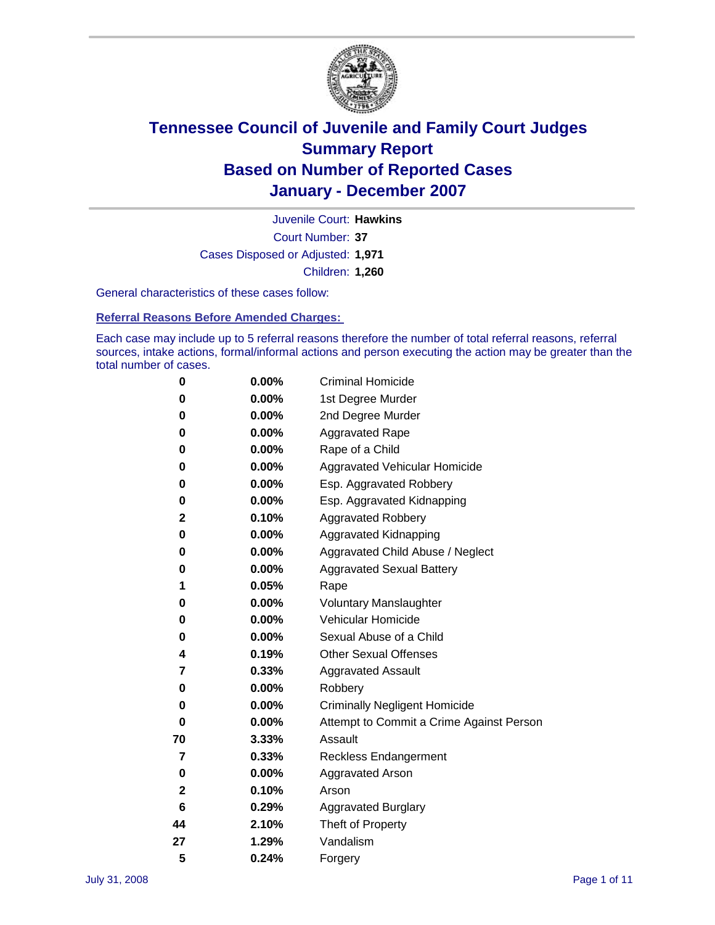

Court Number: **37** Juvenile Court: **Hawkins** Cases Disposed or Adjusted: **1,971** Children: **1,260**

General characteristics of these cases follow:

**Referral Reasons Before Amended Charges:** 

Each case may include up to 5 referral reasons therefore the number of total referral reasons, referral sources, intake actions, formal/informal actions and person executing the action may be greater than the total number of cases.

| 0  | $0.00\%$ | <b>Criminal Homicide</b>                 |
|----|----------|------------------------------------------|
| 0  | 0.00%    | 1st Degree Murder                        |
| 0  | $0.00\%$ | 2nd Degree Murder                        |
| 0  | 0.00%    | <b>Aggravated Rape</b>                   |
| 0  | 0.00%    | Rape of a Child                          |
| 0  | $0.00\%$ | Aggravated Vehicular Homicide            |
| 0  | 0.00%    | Esp. Aggravated Robbery                  |
| 0  | $0.00\%$ | Esp. Aggravated Kidnapping               |
| 2  | 0.10%    | <b>Aggravated Robbery</b>                |
| 0  | 0.00%    | Aggravated Kidnapping                    |
| 0  | 0.00%    | Aggravated Child Abuse / Neglect         |
| 0  | 0.00%    | <b>Aggravated Sexual Battery</b>         |
| 1  | 0.05%    | Rape                                     |
| 0  | 0.00%    | <b>Voluntary Manslaughter</b>            |
| 0  | 0.00%    | Vehicular Homicide                       |
| 0  | 0.00%    | Sexual Abuse of a Child                  |
| 4  | 0.19%    | <b>Other Sexual Offenses</b>             |
| 7  | 0.33%    | <b>Aggravated Assault</b>                |
| 0  | 0.00%    | Robbery                                  |
| 0  | 0.00%    | <b>Criminally Negligent Homicide</b>     |
| 0  | 0.00%    | Attempt to Commit a Crime Against Person |
| 70 | 3.33%    | Assault                                  |
| 7  | 0.33%    | <b>Reckless Endangerment</b>             |
| 0  | 0.00%    | <b>Aggravated Arson</b>                  |
| 2  | 0.10%    | Arson                                    |
| 6  | 0.29%    | <b>Aggravated Burglary</b>               |
| 44 | 2.10%    | Theft of Property                        |
| 27 | 1.29%    | Vandalism                                |
| 5  | 0.24%    | Forgery                                  |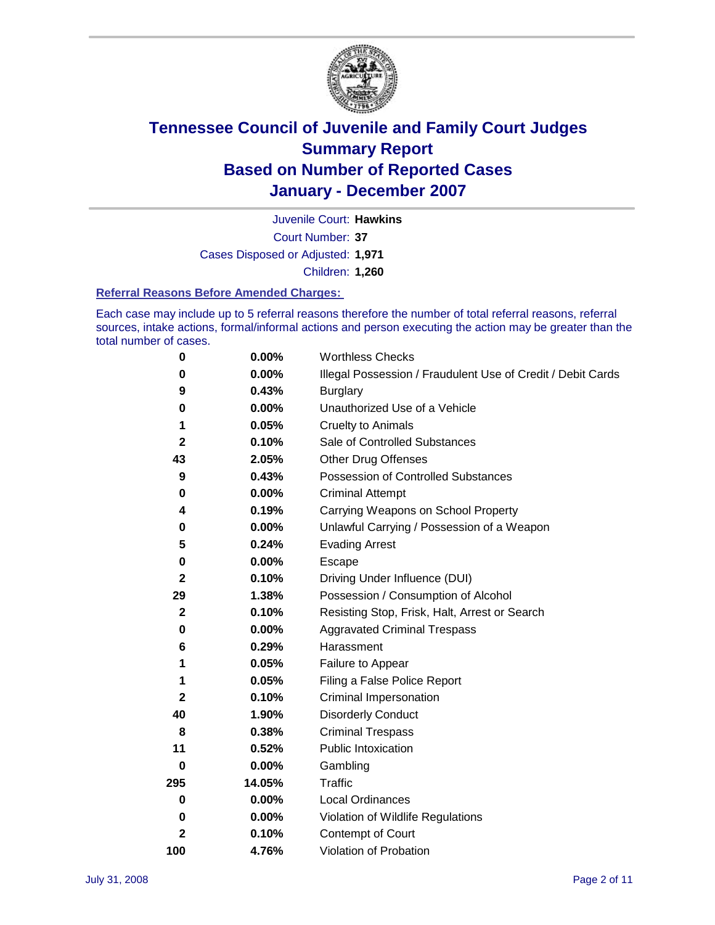

Court Number: **37** Juvenile Court: **Hawkins** Cases Disposed or Adjusted: **1,971** Children: **1,260**

#### **Referral Reasons Before Amended Charges:**

Each case may include up to 5 referral reasons therefore the number of total referral reasons, referral sources, intake actions, formal/informal actions and person executing the action may be greater than the total number of cases.

| 0            | 0.00%    | <b>Worthless Checks</b>                                     |
|--------------|----------|-------------------------------------------------------------|
| 0            | 0.00%    | Illegal Possession / Fraudulent Use of Credit / Debit Cards |
| 9            | 0.43%    | <b>Burglary</b>                                             |
| 0            | 0.00%    | Unauthorized Use of a Vehicle                               |
| 1            | 0.05%    | <b>Cruelty to Animals</b>                                   |
| $\mathbf{2}$ | 0.10%    | Sale of Controlled Substances                               |
| 43           | 2.05%    | <b>Other Drug Offenses</b>                                  |
| 9            | 0.43%    | <b>Possession of Controlled Substances</b>                  |
| 0            | 0.00%    | <b>Criminal Attempt</b>                                     |
| 4            | 0.19%    | Carrying Weapons on School Property                         |
| 0            | 0.00%    | Unlawful Carrying / Possession of a Weapon                  |
| 5            | 0.24%    | <b>Evading Arrest</b>                                       |
| 0            | 0.00%    | Escape                                                      |
| $\mathbf{2}$ | 0.10%    | Driving Under Influence (DUI)                               |
| 29           | 1.38%    | Possession / Consumption of Alcohol                         |
| $\mathbf{2}$ | 0.10%    | Resisting Stop, Frisk, Halt, Arrest or Search               |
| $\bf{0}$     | 0.00%    | <b>Aggravated Criminal Trespass</b>                         |
| 6            | 0.29%    | Harassment                                                  |
| 1            | 0.05%    | Failure to Appear                                           |
| 1            | 0.05%    | Filing a False Police Report                                |
| $\mathbf{2}$ | 0.10%    | Criminal Impersonation                                      |
| 40           | 1.90%    | <b>Disorderly Conduct</b>                                   |
| 8            | 0.38%    | <b>Criminal Trespass</b>                                    |
| 11           | 0.52%    | <b>Public Intoxication</b>                                  |
| 0            | $0.00\%$ | Gambling                                                    |
| 295          | 14.05%   | Traffic                                                     |
| 0            | 0.00%    | Local Ordinances                                            |
| 0            | 0.00%    | Violation of Wildlife Regulations                           |
| $\mathbf{2}$ | 0.10%    | Contempt of Court                                           |
| 100          | 4.76%    | Violation of Probation                                      |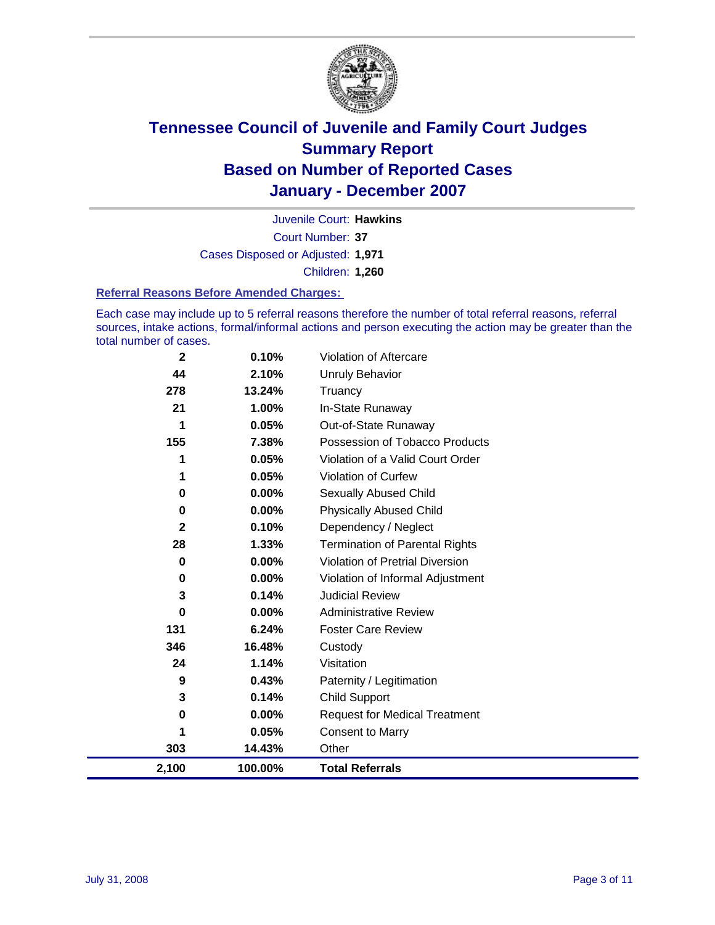

Court Number: **37** Juvenile Court: **Hawkins** Cases Disposed or Adjusted: **1,971** Children: **1,260**

#### **Referral Reasons Before Amended Charges:**

Each case may include up to 5 referral reasons therefore the number of total referral reasons, referral sources, intake actions, formal/informal actions and person executing the action may be greater than the total number of cases.

| $\mathbf{2}$ | 0.10%    | Violation of Aftercare                 |
|--------------|----------|----------------------------------------|
| 44           | 2.10%    | <b>Unruly Behavior</b>                 |
| 278          | 13.24%   | Truancy                                |
| 21           | 1.00%    | In-State Runaway                       |
| 1            | 0.05%    | Out-of-State Runaway                   |
| 155          | 7.38%    | Possession of Tobacco Products         |
|              | 0.05%    | Violation of a Valid Court Order       |
| 1            | 0.05%    | Violation of Curfew                    |
| 0            | 0.00%    | <b>Sexually Abused Child</b>           |
| 0            | 0.00%    | <b>Physically Abused Child</b>         |
| $\mathbf{2}$ | 0.10%    | Dependency / Neglect                   |
| 28           | 1.33%    | <b>Termination of Parental Rights</b>  |
| 0            | $0.00\%$ | <b>Violation of Pretrial Diversion</b> |
| 0            | 0.00%    | Violation of Informal Adjustment       |
| 3            | 0.14%    | <b>Judicial Review</b>                 |
| 0            | 0.00%    | <b>Administrative Review</b>           |
| 131          | 6.24%    | <b>Foster Care Review</b>              |
| 346          | 16.48%   | Custody                                |
| 24           | 1.14%    | Visitation                             |
| 9            | 0.43%    | Paternity / Legitimation               |
| 3            | 0.14%    | <b>Child Support</b>                   |
| 0            | $0.00\%$ | <b>Request for Medical Treatment</b>   |
| 1            | 0.05%    | <b>Consent to Marry</b>                |
| 303          | 14.43%   | Other                                  |
| 2,100        | 100.00%  | <b>Total Referrals</b>                 |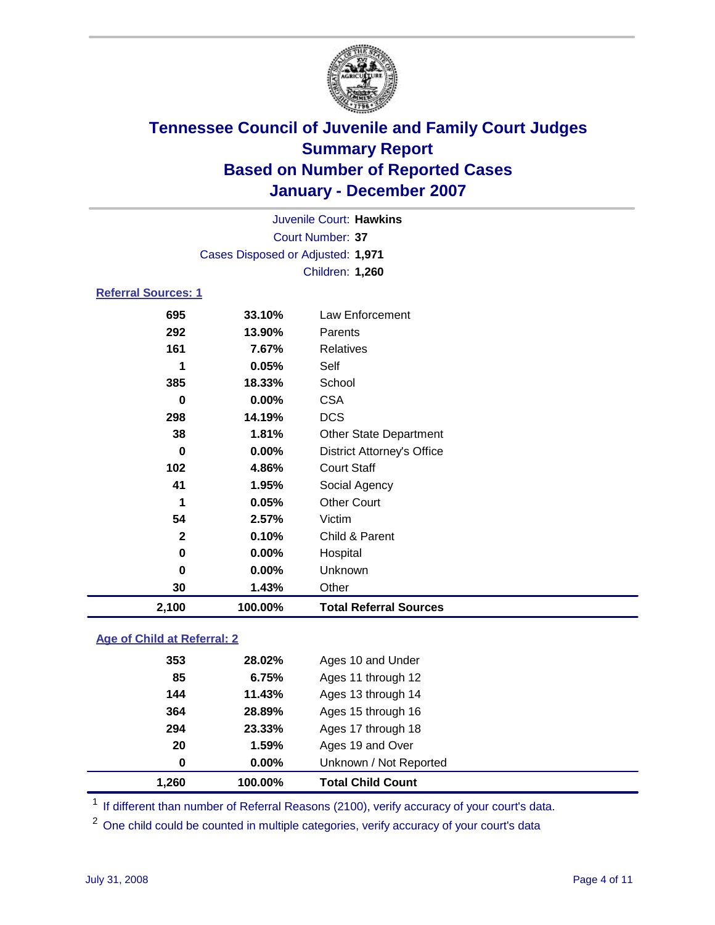

|                            |                                   | Juvenile Court: Hawkins           |  |  |  |  |
|----------------------------|-----------------------------------|-----------------------------------|--|--|--|--|
| Court Number: 37           |                                   |                                   |  |  |  |  |
|                            | Cases Disposed or Adjusted: 1,971 |                                   |  |  |  |  |
|                            |                                   | Children: 1,260                   |  |  |  |  |
| <b>Referral Sources: 1</b> |                                   |                                   |  |  |  |  |
| 695                        | 33.10%                            | Law Enforcement                   |  |  |  |  |
| 292                        | 13.90%                            | Parents                           |  |  |  |  |
| 161                        | 7.67%                             | <b>Relatives</b>                  |  |  |  |  |
| 1                          | 0.05%                             | Self                              |  |  |  |  |
| 385                        | 18.33%                            | School                            |  |  |  |  |
| 0                          | 0.00%                             | <b>CSA</b>                        |  |  |  |  |
| 298                        | 14.19%                            | <b>DCS</b>                        |  |  |  |  |
| 38                         | 1.81%                             | <b>Other State Department</b>     |  |  |  |  |
| 0                          | 0.00%                             | <b>District Attorney's Office</b> |  |  |  |  |
| 102                        | 4.86%                             | <b>Court Staff</b>                |  |  |  |  |
| 41                         | 1.95%                             | Social Agency                     |  |  |  |  |
| 1                          | 0.05%                             | <b>Other Court</b>                |  |  |  |  |
| 54                         | 2.57%                             | Victim                            |  |  |  |  |
| $\mathbf{2}$               | 0.10%                             | Child & Parent                    |  |  |  |  |
| 0                          | $0.00\%$                          | Hospital                          |  |  |  |  |
| 0                          | $0.00\%$                          | Unknown                           |  |  |  |  |

 **1.43%** Other **2,100 100.00% Total Referral Sources**

### **Age of Child at Referral: 2**

| 1.260       | 100.00% | <b>Total Child Count</b> |
|-------------|---------|--------------------------|
| $\mathbf 0$ | 0.00%   | Unknown / Not Reported   |
| 20          | 1.59%   | Ages 19 and Over         |
| 294         | 23.33%  | Ages 17 through 18       |
| 364         | 28.89%  | Ages 15 through 16       |
| 144         | 11.43%  | Ages 13 through 14       |
| 85          | 6.75%   | Ages 11 through 12       |
| 353         | 28.02%  | Ages 10 and Under        |
|             |         |                          |

<sup>1</sup> If different than number of Referral Reasons (2100), verify accuracy of your court's data.

<sup>2</sup> One child could be counted in multiple categories, verify accuracy of your court's data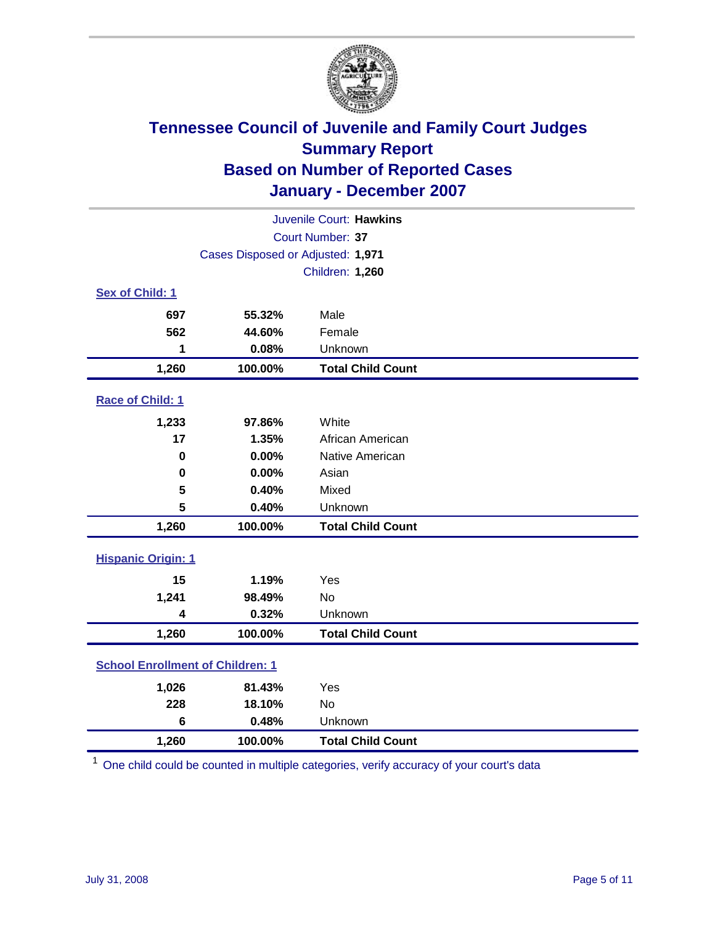

| Juvenile Court: Hawkins                 |                                   |                          |  |  |  |
|-----------------------------------------|-----------------------------------|--------------------------|--|--|--|
| Court Number: 37                        |                                   |                          |  |  |  |
|                                         | Cases Disposed or Adjusted: 1,971 |                          |  |  |  |
|                                         |                                   | Children: 1,260          |  |  |  |
| Sex of Child: 1                         |                                   |                          |  |  |  |
| 697                                     | 55.32%                            | Male                     |  |  |  |
| 562                                     | 44.60%                            | Female                   |  |  |  |
| 1                                       | 0.08%                             | Unknown                  |  |  |  |
| 1,260                                   | 100.00%                           | <b>Total Child Count</b> |  |  |  |
| Race of Child: 1                        |                                   |                          |  |  |  |
| 1,233                                   | 97.86%                            | White                    |  |  |  |
| 17                                      | 1.35%                             | African American         |  |  |  |
| $\bf{0}$                                | 0.00%                             | Native American          |  |  |  |
| 0                                       | 0.00%                             | Asian                    |  |  |  |
| 5                                       | 0.40%                             | Mixed                    |  |  |  |
| 5                                       | 0.40%                             | Unknown                  |  |  |  |
| 1,260                                   | 100.00%                           | <b>Total Child Count</b> |  |  |  |
| <b>Hispanic Origin: 1</b>               |                                   |                          |  |  |  |
| 15                                      | 1.19%                             | Yes                      |  |  |  |
| 1,241                                   | 98.49%                            | No                       |  |  |  |
| 4                                       | 0.32%                             | Unknown                  |  |  |  |
| 1,260                                   | 100.00%                           | <b>Total Child Count</b> |  |  |  |
| <b>School Enrollment of Children: 1</b> |                                   |                          |  |  |  |
| 1,026                                   | 81.43%                            | Yes                      |  |  |  |
| 228                                     | 18.10%                            | No                       |  |  |  |
| $6\phantom{1}$                          | 0.48%                             | Unknown                  |  |  |  |
| 1,260                                   | 100.00%                           | <b>Total Child Count</b> |  |  |  |

 $1$  One child could be counted in multiple categories, verify accuracy of your court's data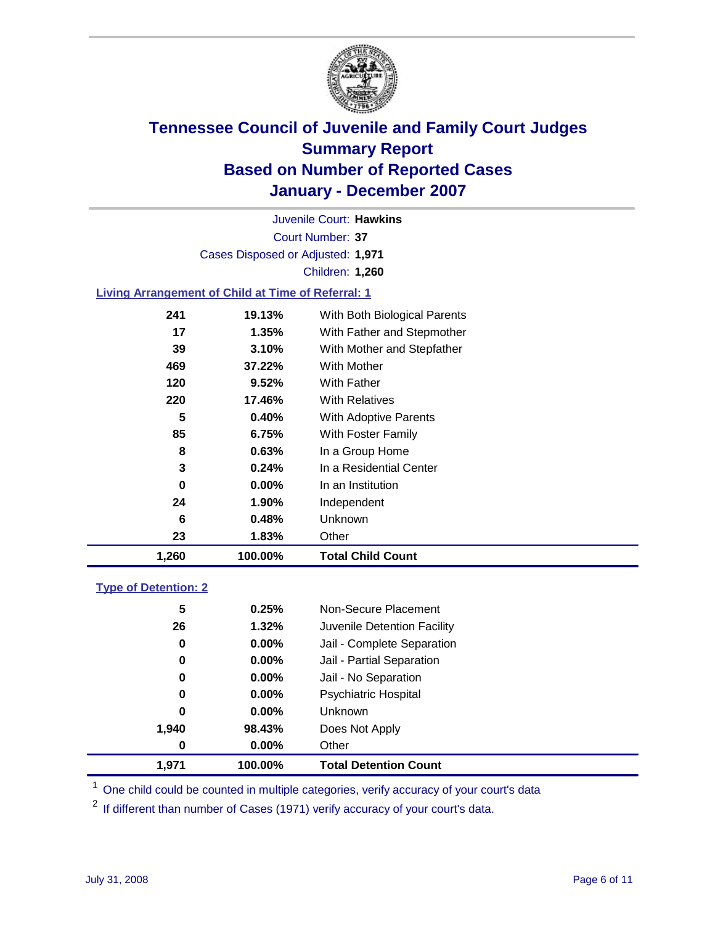

Court Number: **37** Juvenile Court: **Hawkins** Cases Disposed or Adjusted: **1,971** Children: **1,260**

### **Living Arrangement of Child at Time of Referral: 1**

| 1,260 | 100.00%  | <b>Total Child Count</b>     |
|-------|----------|------------------------------|
| 23    | 1.83%    | Other                        |
| 6     | 0.48%    | Unknown                      |
| 24    | 1.90%    | Independent                  |
| 0     | $0.00\%$ | In an Institution            |
| 3     | $0.24\%$ | In a Residential Center      |
| 8     | 0.63%    | In a Group Home              |
| 85    | 6.75%    | With Foster Family           |
| 5     | 0.40%    | With Adoptive Parents        |
| 220   | 17.46%   | <b>With Relatives</b>        |
| 120   | 9.52%    | With Father                  |
| 469   | 37.22%   | With Mother                  |
| 39    | 3.10%    | With Mother and Stepfather   |
| 17    | 1.35%    | With Father and Stepmother   |
| 241   | 19.13%   | With Both Biological Parents |

#### **Type of Detention: 2**

| 1.971 | 100.00%  | <b>Total Detention Count</b> |  |
|-------|----------|------------------------------|--|
| 0     | 0.00%    | Other                        |  |
| 1,940 | 98.43%   | Does Not Apply               |  |
| 0     | $0.00\%$ | Unknown                      |  |
| 0     | 0.00%    | <b>Psychiatric Hospital</b>  |  |
| 0     | 0.00%    | Jail - No Separation         |  |
| 0     | 0.00%    | Jail - Partial Separation    |  |
| 0     | 0.00%    | Jail - Complete Separation   |  |
| 26    | 1.32%    | Juvenile Detention Facility  |  |
| 5     | 0.25%    | Non-Secure Placement         |  |
|       |          |                              |  |

<sup>1</sup> One child could be counted in multiple categories, verify accuracy of your court's data

<sup>2</sup> If different than number of Cases (1971) verify accuracy of your court's data.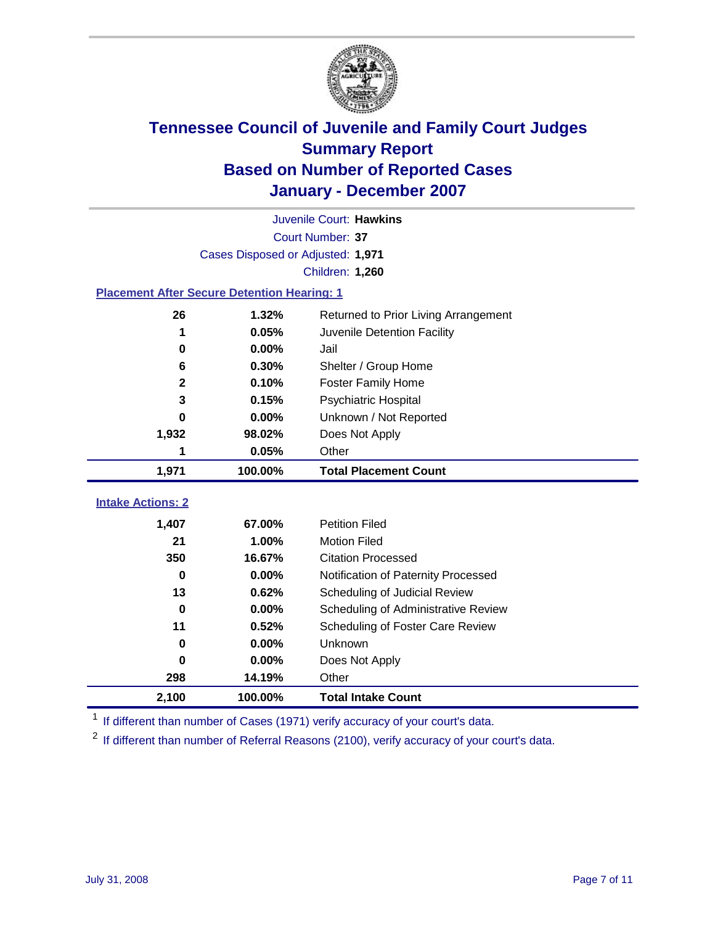

| Juvenile Court: Hawkins                            |                                   |                                      |  |  |  |
|----------------------------------------------------|-----------------------------------|--------------------------------------|--|--|--|
| Court Number: 37                                   |                                   |                                      |  |  |  |
|                                                    | Cases Disposed or Adjusted: 1,971 |                                      |  |  |  |
|                                                    |                                   | Children: 1,260                      |  |  |  |
| <b>Placement After Secure Detention Hearing: 1</b> |                                   |                                      |  |  |  |
| 26                                                 | 1.32%                             | Returned to Prior Living Arrangement |  |  |  |
| 1                                                  | 0.05%                             | Juvenile Detention Facility          |  |  |  |
| 0                                                  | 0.00%                             | Jail                                 |  |  |  |
| 6                                                  | 0.30%                             | Shelter / Group Home                 |  |  |  |
| $\overline{\mathbf{2}}$                            | 0.10%                             | <b>Foster Family Home</b>            |  |  |  |
| 3                                                  | 0.15%                             | Psychiatric Hospital                 |  |  |  |
| O                                                  | 0.00%                             | Unknown / Not Reported               |  |  |  |
| 1,932                                              | 98.02%                            | Does Not Apply                       |  |  |  |
| 1                                                  | 0.05%                             | Other                                |  |  |  |
| 1,971                                              | 100.00%                           | <b>Total Placement Count</b>         |  |  |  |
| <b>Intake Actions: 2</b>                           |                                   |                                      |  |  |  |
|                                                    |                                   | <b>Petition Filed</b>                |  |  |  |
| 1,407                                              | 67.00%                            |                                      |  |  |  |
| 21                                                 | 1.00%                             | <b>Motion Filed</b>                  |  |  |  |
| 350                                                | 16.67%                            | <b>Citation Processed</b>            |  |  |  |
| 0                                                  | 0.00%                             | Notification of Paternity Processed  |  |  |  |
| 13                                                 | 0.62%                             | Scheduling of Judicial Review        |  |  |  |
| $\bf{0}$                                           | 0.00%                             | Scheduling of Administrative Review  |  |  |  |
| 11                                                 | 0.52%                             | Scheduling of Foster Care Review     |  |  |  |
| 0                                                  | 0.00%                             | Unknown                              |  |  |  |
| 0                                                  | 0.00%                             | Does Not Apply                       |  |  |  |
| 298                                                | 14.19%                            | Other                                |  |  |  |
| 2,100                                              | 100.00%                           | <b>Total Intake Count</b>            |  |  |  |

<sup>1</sup> If different than number of Cases (1971) verify accuracy of your court's data.

<sup>2</sup> If different than number of Referral Reasons (2100), verify accuracy of your court's data.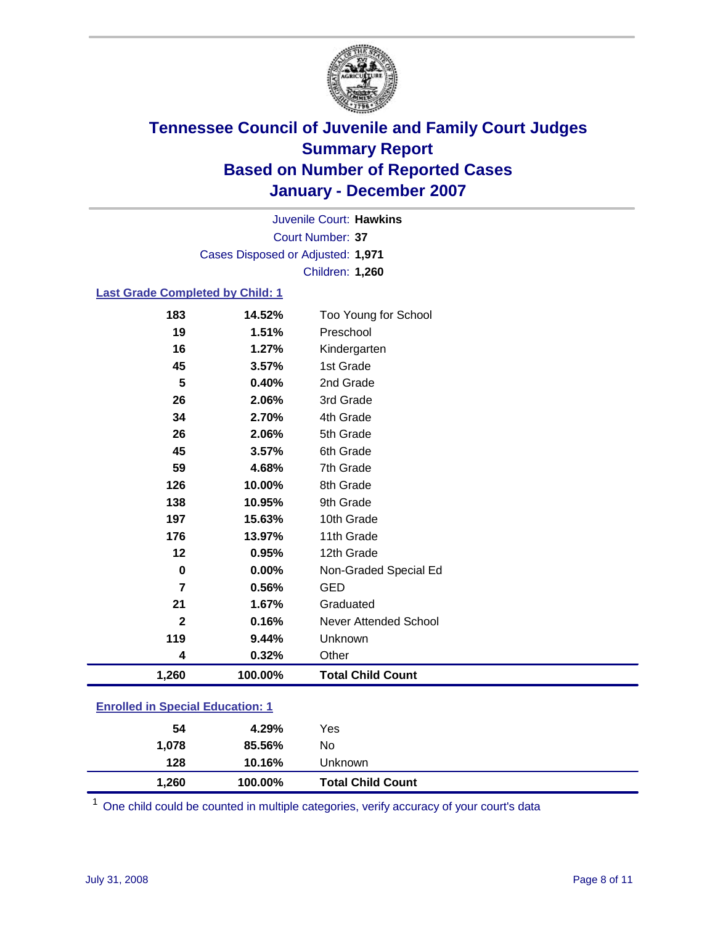

Court Number: **37** Juvenile Court: **Hawkins** Cases Disposed or Adjusted: **1,971** Children: **1,260**

#### **Last Grade Completed by Child: 1**

| $\overline{7}$ | 0.56%          | <b>GED</b>                |
|----------------|----------------|---------------------------|
| 0              | 0.00%          | Non-Graded Special Ed     |
| 12             | 0.95%          | 12th Grade                |
| 176            | 13.97%         | 11th Grade                |
| 197            | 15.63%         | 10th Grade                |
| 138            | 10.95%         | 9th Grade                 |
| 126            | 10.00%         | 8th Grade                 |
| 59             | 4.68%          | 7th Grade                 |
| 45             | 3.57%          | 6th Grade                 |
| 26             | 2.06%          | 5th Grade                 |
| 34             | 2.70%          | 4th Grade                 |
| 26             | 2.06%          | 3rd Grade                 |
| 5              | 3.57%<br>0.40% | 2nd Grade                 |
| 16<br>45       | 1.27%          | Kindergarten<br>1st Grade |
| 19             | 1.51%          | Preschool                 |
| 183            | 14.52%         | Too Young for School      |
|                |                |                           |

### **Enrolled in Special Education: 1**

| 1,260<br><b>Total Child Count</b><br>100.00% |  |
|----------------------------------------------|--|
| 128<br>10.16%<br>Unknown                     |  |
| 85.56%<br>1.078<br>No                        |  |
| 4.29%<br>54<br>Yes                           |  |

<sup>1</sup> One child could be counted in multiple categories, verify accuracy of your court's data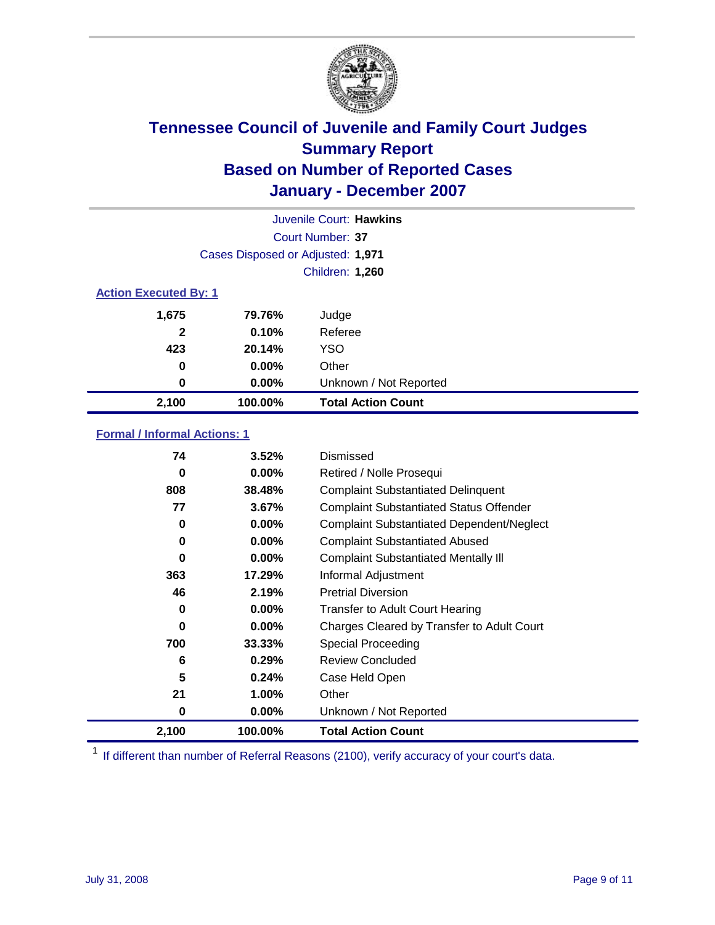

| Juvenile Court: Hawkins      |                                   |                           |  |  |  |
|------------------------------|-----------------------------------|---------------------------|--|--|--|
|                              | Court Number: 37                  |                           |  |  |  |
|                              | Cases Disposed or Adjusted: 1,971 |                           |  |  |  |
|                              |                                   | Children: 1,260           |  |  |  |
| <b>Action Executed By: 1</b> |                                   |                           |  |  |  |
| 1,675                        | 79.76%                            | Judge                     |  |  |  |
| 2                            | 0.10%                             | Referee                   |  |  |  |
| 423                          | 20.14%                            | <b>YSO</b>                |  |  |  |
| 0                            | $0.00\%$                          | Other                     |  |  |  |
| $\bf{0}$                     | $0.00\%$                          | Unknown / Not Reported    |  |  |  |
| 2,100                        | 100.00%                           | <b>Total Action Count</b> |  |  |  |

### **Formal / Informal Actions: 1**

| 74    | 3.52%    | Dismissed                                        |
|-------|----------|--------------------------------------------------|
| 0     | $0.00\%$ | Retired / Nolle Prosequi                         |
| 808   | 38.48%   | <b>Complaint Substantiated Delinquent</b>        |
| 77    | 3.67%    | <b>Complaint Substantiated Status Offender</b>   |
| 0     | $0.00\%$ | <b>Complaint Substantiated Dependent/Neglect</b> |
| 0     | $0.00\%$ | <b>Complaint Substantiated Abused</b>            |
| 0     | $0.00\%$ | <b>Complaint Substantiated Mentally III</b>      |
| 363   | 17.29%   | Informal Adjustment                              |
| 46    | 2.19%    | <b>Pretrial Diversion</b>                        |
| 0     | $0.00\%$ | <b>Transfer to Adult Court Hearing</b>           |
| 0     | $0.00\%$ | Charges Cleared by Transfer to Adult Court       |
| 700   | 33.33%   | Special Proceeding                               |
| 6     | 0.29%    | <b>Review Concluded</b>                          |
| 5     | 0.24%    | Case Held Open                                   |
| 21    | $1.00\%$ | Other                                            |
| 0     | $0.00\%$ | Unknown / Not Reported                           |
| 2,100 | 100.00%  | <b>Total Action Count</b>                        |

<sup>1</sup> If different than number of Referral Reasons (2100), verify accuracy of your court's data.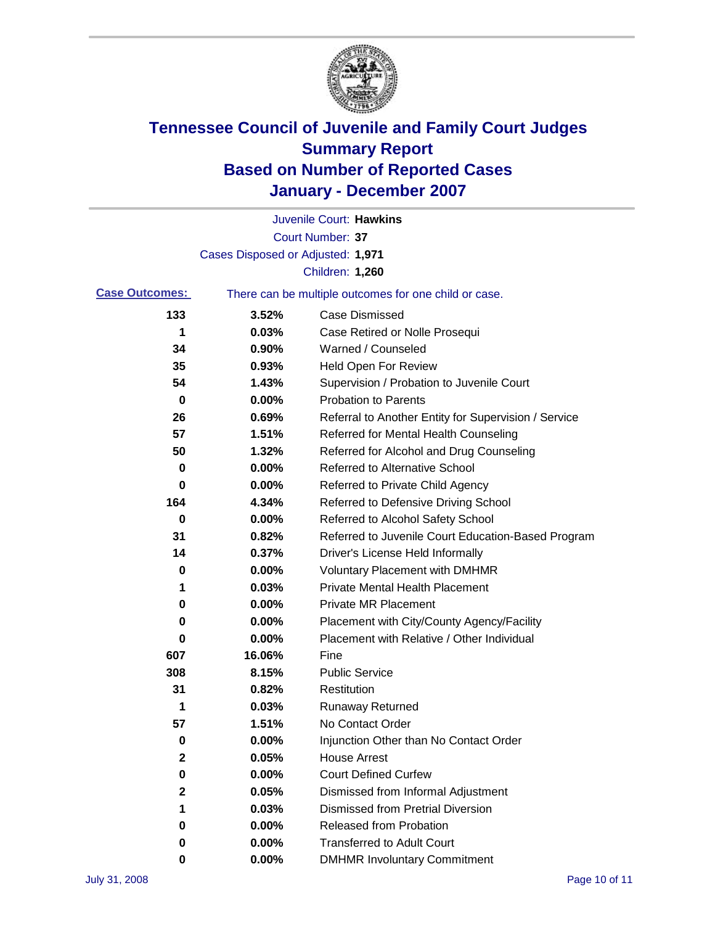

|                       |                                   | Juvenile Court: Hawkins                               |
|-----------------------|-----------------------------------|-------------------------------------------------------|
|                       |                                   | <b>Court Number: 37</b>                               |
|                       | Cases Disposed or Adjusted: 1,971 |                                                       |
|                       |                                   | Children: 1,260                                       |
| <b>Case Outcomes:</b> |                                   | There can be multiple outcomes for one child or case. |
| 133                   | 3.52%                             | <b>Case Dismissed</b>                                 |
| 1                     | 0.03%                             | Case Retired or Nolle Prosequi                        |
| 34                    | 0.90%                             | Warned / Counseled                                    |
| 35                    | 0.93%                             | <b>Held Open For Review</b>                           |
| 54                    | 1.43%                             | Supervision / Probation to Juvenile Court             |
| 0                     | 0.00%                             | <b>Probation to Parents</b>                           |
| 26                    | 0.69%                             | Referral to Another Entity for Supervision / Service  |
| 57                    | 1.51%                             | Referred for Mental Health Counseling                 |
| 50                    | 1.32%                             | Referred for Alcohol and Drug Counseling              |
| 0                     | 0.00%                             | <b>Referred to Alternative School</b>                 |
| 0                     | 0.00%                             | Referred to Private Child Agency                      |
| 164                   | 4.34%                             | Referred to Defensive Driving School                  |
| 0                     | 0.00%                             | Referred to Alcohol Safety School                     |
| 31                    | 0.82%                             | Referred to Juvenile Court Education-Based Program    |
| 14                    | 0.37%                             | Driver's License Held Informally                      |
| 0                     | 0.00%                             | <b>Voluntary Placement with DMHMR</b>                 |
| 1                     | 0.03%                             | <b>Private Mental Health Placement</b>                |
| 0                     | 0.00%                             | <b>Private MR Placement</b>                           |
| 0                     | 0.00%                             | Placement with City/County Agency/Facility            |
| 0                     | 0.00%                             | Placement with Relative / Other Individual            |
| 607                   | 16.06%                            | Fine                                                  |
| 308                   | 8.15%                             | <b>Public Service</b>                                 |
| 31                    | 0.82%                             | Restitution                                           |
| 1                     | 0.03%                             | <b>Runaway Returned</b>                               |
| 57                    | 1.51%                             | No Contact Order                                      |
| 0                     | 0.00%                             | Injunction Other than No Contact Order                |
| 2                     | 0.05%                             | <b>House Arrest</b>                                   |
| 0                     | 0.00%                             | <b>Court Defined Curfew</b>                           |
| 2                     | 0.05%                             | Dismissed from Informal Adjustment                    |
| 1                     | 0.03%                             | <b>Dismissed from Pretrial Diversion</b>              |
| 0                     | 0.00%                             | <b>Released from Probation</b>                        |
| 0                     | 0.00%                             | <b>Transferred to Adult Court</b>                     |
| 0                     | 0.00%                             | <b>DMHMR Involuntary Commitment</b>                   |